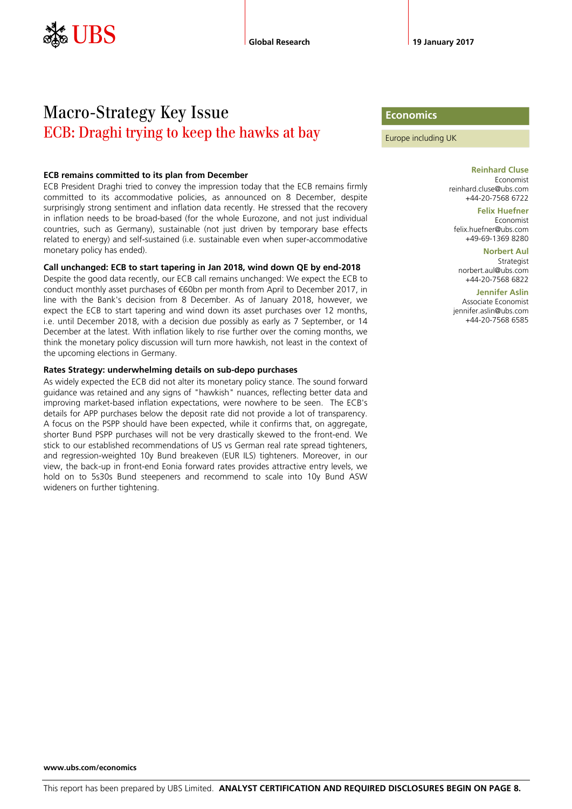# Macro-Strategy Key Issue ECB: Draghi trying to keep the hawks at bay

#### **ECB remains committed to its plan from December**

ECB President Draghi tried to convey the impression today that the ECB remains firmly committed to its accommodative policies, as announced on 8 December, despite surprisingly strong sentiment and inflation data recently. He stressed that the recovery in inflation needs to be broad-based (for the whole Eurozone, and not just individual countries, such as Germany), sustainable (not just driven by temporary base effects related to energy) and self-sustained (i.e. sustainable even when super-accommodative monetary policy has ended).

#### **Call unchanged: ECB to start tapering in Jan 2018, wind down QE by end-2018**

Despite the good data recently, our ECB call remains unchanged: We expect the ECB to conduct monthly asset purchases of €60bn per month from April to December 2017, in line with the Bank's decision from 8 December. As of January 2018, however, we expect the ECB to start tapering and wind down its asset purchases over 12 months, i.e. until December 2018, with a decision due possibly as early as 7 September, or 14 December at the latest. With inflation likely to rise further over the coming months, we think the monetary policy discussion will turn more hawkish, not least in the context of the upcoming elections in Germany.

#### **Rates Strategy: underwhelming details on sub-depo purchases**

As widely expected the ECB did not alter its monetary policy stance. The sound forward guidance was retained and any signs of "hawkish" nuances, reflecting better data and improving market-based inflation expectations, were nowhere to be seen. The ECB's details for APP purchases below the deposit rate did not provide a lot of transparency. A focus on the PSPP should have been expected, while it confirms that, on aggregate, shorter Bund PSPP purchases will not be very drastically skewed to the front-end. We stick to our established recommendations of US vs German real rate spread tighteners, and regression-weighted 10y Bund breakeven (EUR ILS) tighteners. Moreover, in our view, the back-up in front-end Eonia forward rates provides attractive entry levels, we hold on to 5s30s Bund steepeners and recommend to scale into 10y Bund ASW wideners on further tightening.

#### **Economics**

Europe including UK

**Reinhard Cluse** Economist reinhard.cluse@ubs.com +44-20-7568 6722

**Felix Huefner** Economist felix.huefner@ubs.com +49-69-1369 8280

**Norbert Aul** Strategist norbert.aul@ubs.com +44-20-7568 6822

**Jennifer Aslin**

Associate Economist jennifer.aslin@ubs.com +44-20-7568 6585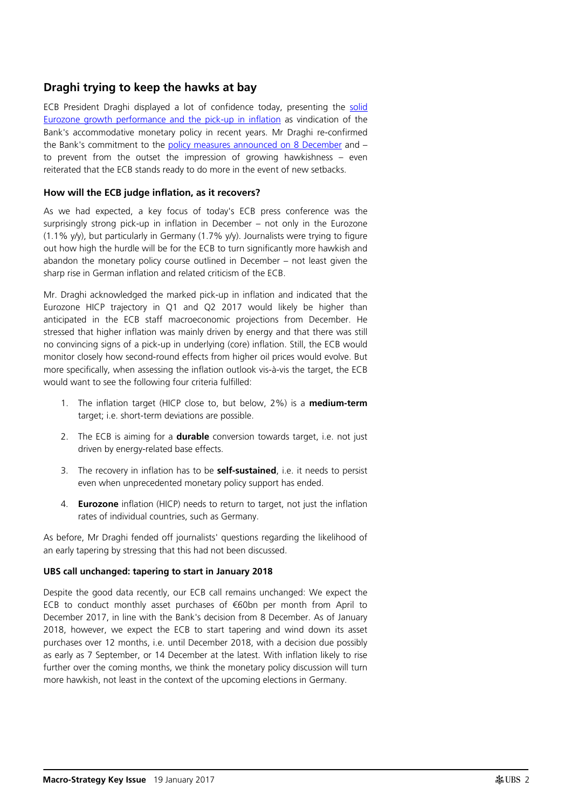## **Draghi trying to keep the hawks at bay**

ECB President Draghi displayed a lot of confidence today, presenting the [solid](https://neo.ubs.com/shared/d1FY7FEHSMS)  [Eurozone growth performance and the pick-up in inflation](https://neo.ubs.com/shared/d1FY7FEHSMS) as vindication of the Bank's accommodative monetary policy in recent years. Mr Draghi re-confirmed the Bank's commitment to the [policy measures announced on 8 December](https://neo.ubs.com/shared/d18xp3ybjMrOf9) and – to prevent from the outset the impression of growing hawkishness – even reiterated that the ECB stands ready to do more in the event of new setbacks.

### **How will the ECB judge inflation, as it recovers?**

As we had expected, a key focus of today's ECB press conference was the surprisingly strong pick-up in inflation in December – not only in the Eurozone (1.1% y/y), but particularly in Germany (1.7% y/y). Journalists were trying to figure out how high the hurdle will be for the ECB to turn significantly more hawkish and abandon the monetary policy course outlined in December – not least given the sharp rise in German inflation and related criticism of the ECB.

Mr. Draghi acknowledged the marked pick-up in inflation and indicated that the Eurozone HICP trajectory in Q1 and Q2 2017 would likely be higher than anticipated in the ECB staff macroeconomic projections from December. He stressed that higher inflation was mainly driven by energy and that there was still no convincing signs of a pick-up in underlying (core) inflation. Still, the ECB would monitor closely how second-round effects from higher oil prices would evolve. But more specifically, when assessing the inflation outlook vis-à-vis the target, the ECB would want to see the following four criteria fulfilled:

- 1. The inflation target (HICP close to, but below, 2%) is a **medium-term** target; i.e. short-term deviations are possible.
- 2. The ECB is aiming for a **durable** conversion towards target, i.e. not just driven by energy-related base effects.
- 3. The recovery in inflation has to be **self-sustained**, i.e. it needs to persist even when unprecedented monetary policy support has ended.
- 4. **Eurozone** inflation (HICP) needs to return to target, not just the inflation rates of individual countries, such as Germany.

As before, Mr Draghi fended off journalists' questions regarding the likelihood of an early tapering by stressing that this had not been discussed.

#### **UBS call unchanged: tapering to start in January 2018**

Despite the good data recently, our ECB call remains unchanged: We expect the ECB to conduct monthly asset purchases of €60bn per month from April to December 2017, in line with the Bank's decision from 8 December. As of January 2018, however, we expect the ECB to start tapering and wind down its asset purchases over 12 months, i.e. until December 2018, with a decision due possibly as early as 7 September, or 14 December at the latest. With inflation likely to rise further over the coming months, we think the monetary policy discussion will turn more hawkish, not least in the context of the upcoming elections in Germany.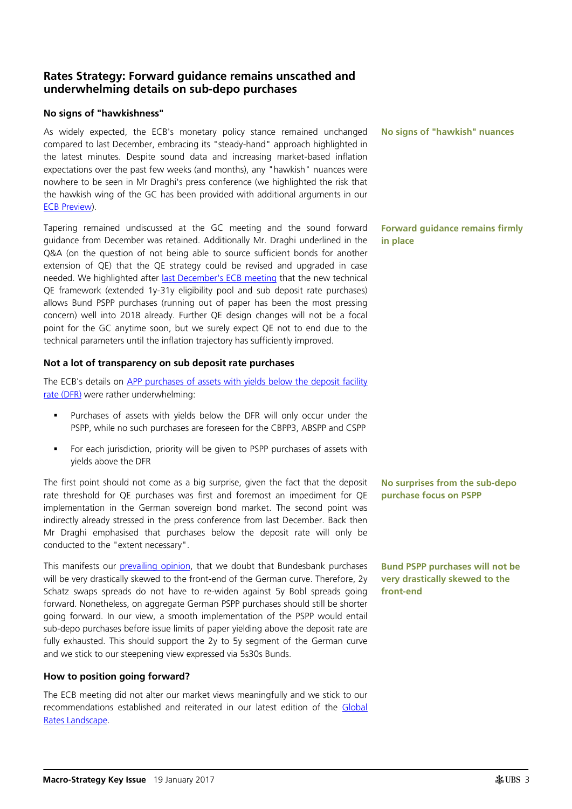## **Rates Strategy: Forward guidance remains unscathed and underwhelming details on sub-depo purchases**

#### **No signs of "hawkishness"**

As widely expected, the ECB's monetary policy stance remained unchanged compared to last December, embracing its "steady-hand" approach highlighted in the latest minutes. Despite sound data and increasing market-based inflation expectations over the past few weeks (and months), any "hawkish" nuances were nowhere to be seen in Mr Draghi's press conference (we highlighted the risk that the hawkish wing of the GC has been provided with additional arguments in our [ECB Preview\)](https://neo.ubs.com/shared/d1bxHsfjd5Tm7a).

Tapering remained undiscussed at the GC meeting and the sound forward guidance from December was retained. Additionally Mr. Draghi underlined in the Q&A (on the question of not being able to source sufficient bonds for another extension of QE) that the QE strategy could be revised and upgraded in case needed. We highlighted after [last December's ECB meeting](https://neo.ubs.com/shared/d1Fl6vNwxKHM7) that the new technical QE framework (extended 1y-31y eligibility pool and sub deposit rate purchases) allows Bund PSPP purchases (running out of paper has been the most pressing concern) well into 2018 already. Further QE design changes will not be a focal point for the GC anytime soon, but we surely expect QE not to end due to the technical parameters until the inflation trajectory has sufficiently improved.

### **Not a lot of transparency on sub deposit rate purchases**

The ECB's details on APP purchases of assets with yields below the deposit facility [rate](https://www.ecb.europa.eu/press/pr/date/2017/html/pr170119_1.en.html) (DFR) were rather underwhelming:

- Purchases of assets with yields below the DFR will only occur under the PSPP, while no such purchases are foreseen for the CBPP3, ABSPP and CSPP
- For each jurisdiction, priority will be given to PSPP purchases of assets with yields above the DFR

The first point should not come as a big surprise, given the fact that the deposit rate threshold for QE purchases was first and foremost an impediment for QE implementation in the German sovereign bond market. The second point was indirectly already stressed in the press conference from last December. Back then Mr Draghi emphasised that purchases below the deposit rate will only be conducted to the "extent necessary".

This manifests our [prevailing opinion,](https://neo.ubs.com/shared/d1bxHsfjd5Tm7a) that we doubt that Bundesbank purchases will be very drastically skewed to the front-end of the German curve. Therefore, 2y Schatz swaps spreads do not have to re-widen against 5y Bobl spreads going forward. Nonetheless, on aggregate German PSPP purchases should still be shorter going forward. In our view, a smooth implementation of the PSPP would entail sub-depo purchases before issue limits of paper yielding above the deposit rate are fully exhausted. This should support the 2y to 5y segment of the German curve and we stick to our steepening view expressed via 5s30s Bunds.

## **How to position going forward?**

The ECB meeting did not alter our market views meaningfully and we stick to our recommendations established and reiterated in our latest edition of the [Global](https://neo.ubs.com/shared/d15jYaq2Hw96gjC)  [Rates Landscape.](https://neo.ubs.com/shared/d15jYaq2Hw96gjC)

**No signs of "hawkish" nuances**

**Forward guidance remains firmly in place**

**No surprises from the sub-depo purchase focus on PSPP** 

**Bund PSPP purchases will not be very drastically skewed to the front-end**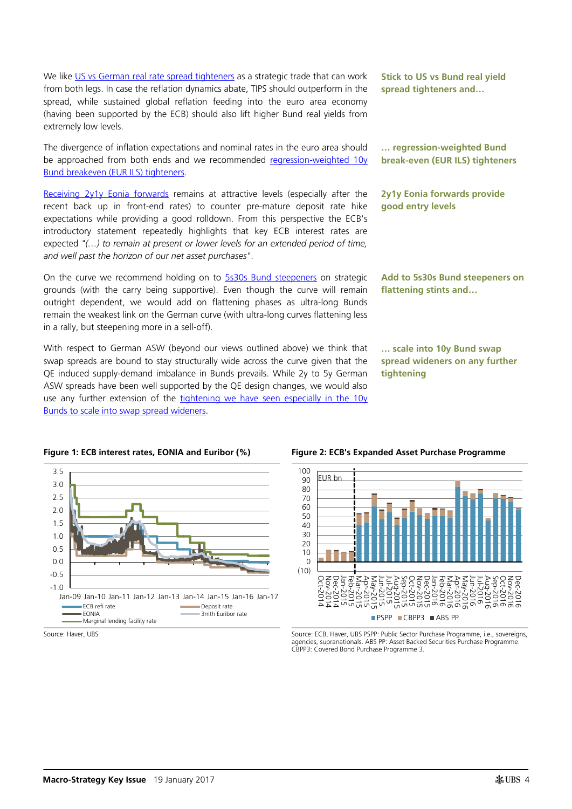We like [US vs German real rate spread tighteners](https://neo.ubs.com/shared/d15jYaq2Hw96gjC) as a strategic trade that can work from both legs. In case the reflation dynamics abate, TIPS should outperform in the spread, while sustained global reflation feeding into the euro area economy (having been supported by the ECB) should also lift higher Bund real yields from extremely low levels.

The divergence of inflation expectations and nominal rates in the euro area should be approached from both ends and we recommended regression-weighted 10y [Bund breakeven \(EUR ILS\) tighteners.](https://neo.ubs.com/shared/d15jYaq2Hw96gjC)

[Receiving 2y1y Eonia forwards](https://neo.ubs.com/shared/d1Fl6vNwxKHM7) remains at attractive levels (especially after the recent back up in front-end rates) to counter pre-mature deposit rate hike expectations while providing a good rolldown. From this perspective the ECB's introductory statement repeatedly highlights that key ECB interest rates are expected *"(…) to remain at present or lower levels for an extended period of time, and well past the horizon of our net asset purchases"*.

On the curve we recommend holding on to [5s30s Bund steepeners](https://neo.ubs.com/shared/d1AUsEBJi2I) on strategic grounds (with the carry being supportive). Even though the curve will remain outright dependent, we would add on flattening phases as ultra-long Bunds remain the weakest link on the German curve (with ultra-long curves flattening less in a rally, but steepening more in a sell-off).

With respect to German ASW (beyond our views outlined above) we think that swap spreads are bound to stay structurally wide across the curve given that the QE induced supply-demand imbalance in Bunds prevails. While 2y to 5y German ASW spreads have been well supported by the QE design changes, we would also use any further extension of the tightening we have seen especially in the 10y [Bunds to scale into swap spread wideners.](https://neo.ubs.com/shared/d15jYaq2Hw96gjC)





**Stick to US vs Bund real yield spread tighteners and…**

**… regression-weighted Bund break-even (EUR ILS) tighteners**

**2y1y Eonia forwards provide good entry levels**

**Add to 5s30s Bund steepeners on flattening stints and…**

**… scale into 10y Bund swap spread wideners on any further tightening**





Source: Haver, UBS Source: ECB, Haver, UBS PSPP: Public Sector Purchase Programme, i.e., sovereigns, agencies, supranationals. ABS PP: Asset Backed Securities Purchase Programme. CBPP3: Covered Bond Purchase Programme 3.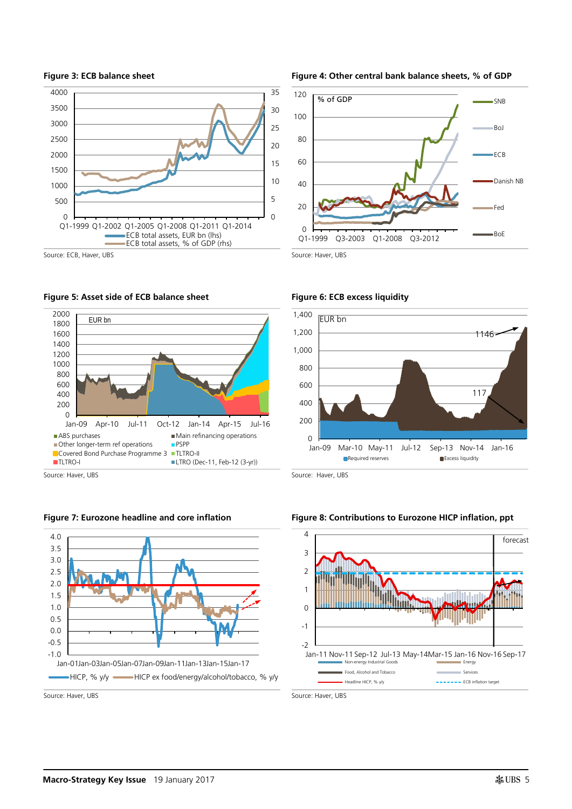











Source: Haver, UBS Source: Haver, UBS









#### **Figure 7: Eurozone headline and core inflation Figure 8: Contributions to Eurozone HICP inflation, ppt**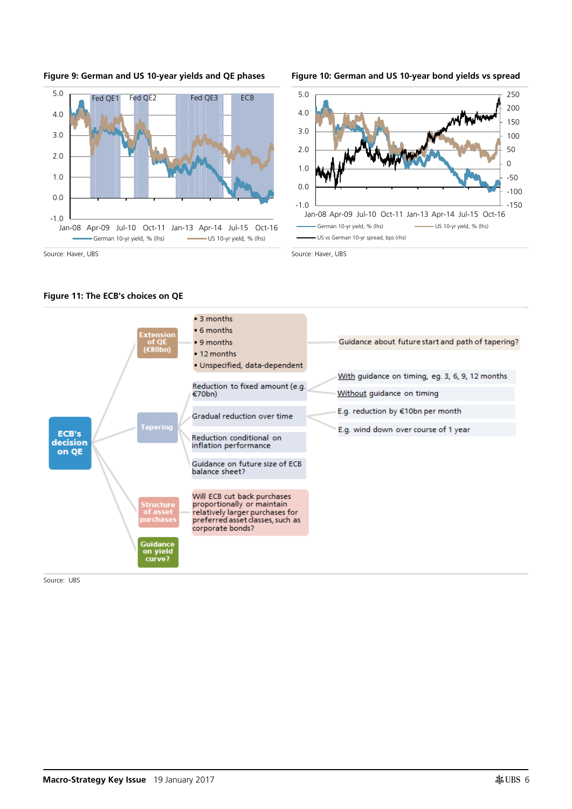

#### **Figure 9: German and US 10-year yields and QE phases Figure 10: German and US 10-year bond yields vs spread**





#### **Figure 11: The ECB's choices on QE**

Source: UBS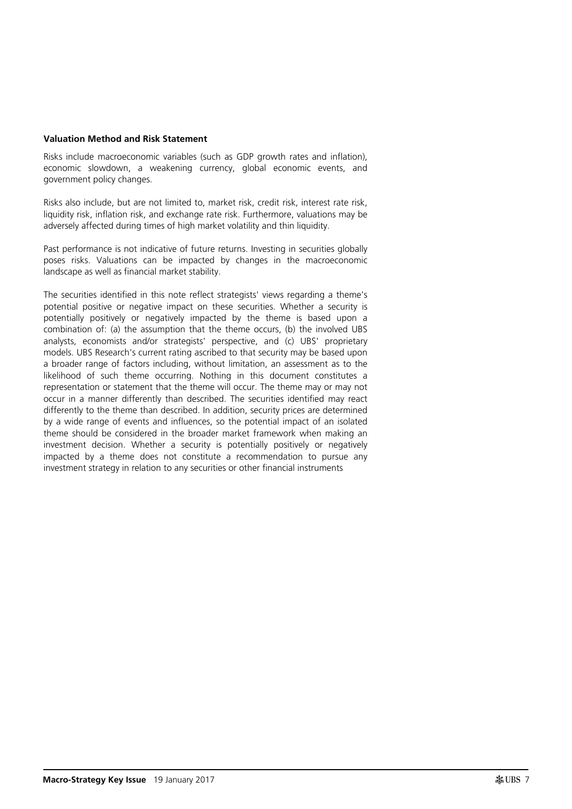#### **Valuation Method and Risk Statement**

Risks include macroeconomic variables (such as GDP growth rates and inflation), economic slowdown, a weakening currency, global economic events, and government policy changes.

Risks also include, but are not limited to, market risk, credit risk, interest rate risk, liquidity risk, inflation risk, and exchange rate risk. Furthermore, valuations may be adversely affected during times of high market volatility and thin liquidity.

Past performance is not indicative of future returns. Investing in securities globally poses risks. Valuations can be impacted by changes in the macroeconomic landscape as well as financial market stability.

The securities identified in this note reflect strategists' views regarding a theme's potential positive or negative impact on these securities. Whether a security is potentially positively or negatively impacted by the theme is based upon a combination of: (a) the assumption that the theme occurs, (b) the involved UBS analysts, economists and/or strategists' perspective, and (c) UBS' proprietary models. UBS Research's current rating ascribed to that security may be based upon a broader range of factors including, without limitation, an assessment as to the likelihood of such theme occurring. Nothing in this document constitutes a representation or statement that the theme will occur. The theme may or may not occur in a manner differently than described. The securities identified may react differently to the theme than described. In addition, security prices are determined by a wide range of events and influences, so the potential impact of an isolated theme should be considered in the broader market framework when making an investment decision. Whether a security is potentially positively or negatively impacted by a theme does not constitute a recommendation to pursue any investment strategy in relation to any securities or other financial instruments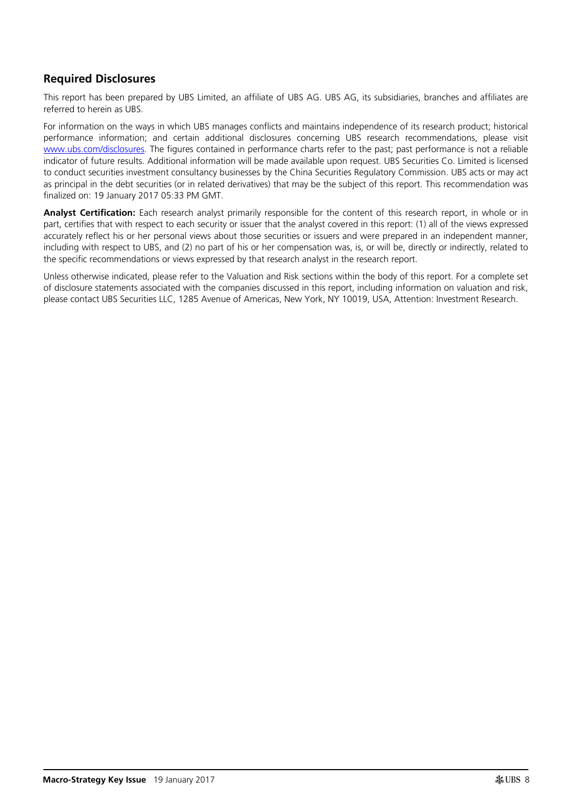## **Required Disclosures**

This report has been prepared by UBS Limited, an affiliate of UBS AG. UBS AG, its subsidiaries, branches and affiliates are referred to herein as UBS.

For information on the ways in which UBS manages conflicts and maintains independence of its research product; historical performance information; and certain additional disclosures concerning UBS research recommendations, please visit [www.ubs.com/disclosures.](http://www.ubs.com/disclosures) The figures contained in performance charts refer to the past; past performance is not a reliable indicator of future results. Additional information will be made available upon request. UBS Securities Co. Limited is licensed to conduct securities investment consultancy businesses by the China Securities Regulatory Commission. UBS acts or may act as principal in the debt securities (or in related derivatives) that may be the subject of this report. This recommendation was finalized on: 19 January 2017 05:33 PM GMT.

**Analyst Certification:** Each research analyst primarily responsible for the content of this research report, in whole or in part, certifies that with respect to each security or issuer that the analyst covered in this report: (1) all of the views expressed accurately reflect his or her personal views about those securities or issuers and were prepared in an independent manner, including with respect to UBS, and (2) no part of his or her compensation was, is, or will be, directly or indirectly, related to the specific recommendations or views expressed by that research analyst in the research report.

Unless otherwise indicated, please refer to the Valuation and Risk sections within the body of this report. For a complete set of disclosure statements associated with the companies discussed in this report, including information on valuation and risk, please contact UBS Securities LLC, 1285 Avenue of Americas, New York, NY 10019, USA, Attention: Investment Research.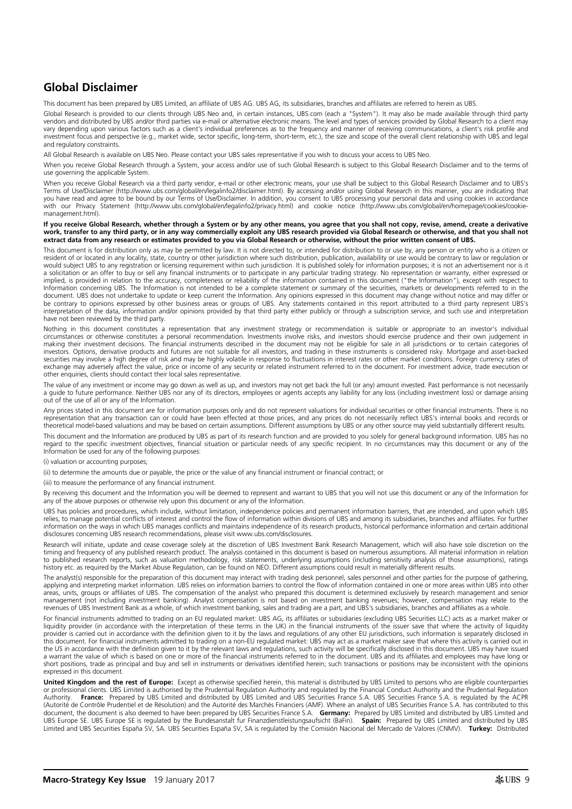## **Global Disclaimer**

This document has been prepared by UBS Limited, an affiliate of UBS AG. UBS AG, its subsidiaries, branches and affiliates are referred to herein as UBS.

Global Research is provided to our clients through UBS Neo and, in certain instances, UBS.com (each a "System"). It may also be made available through third party vendors and distributed by UBS and/or third parties via e-mail or alternative electronic means. The level and types of services provided by Global Research to a client may vary depending upon various factors such as a client's individual preferences as to the frequency and manner of receiving communications, a client's risk profile and investment focus and perspective (e.g., market wide, sector specific, long-term, short-term, etc.), the size and scope of the overall client relationship with UBS and legal and regulatory constraints.

All Global Research is available on UBS Neo. Please contact your UBS sales representative if you wish to discuss your access to UBS Neo.

When you receive Global Research through a System, your access and/or use of such Global Research is subject to this Global Research Disclaimer and to the terms of use governing the applicable System.

When you receive Global Research via a third party vendor, e-mail or other electronic means, your use shall be subject to this Global Research Disclaimer and to UBS's Terms of Use/Disclaimer (http://www.ubs.com/global/en/legalinfo2/disclaimer.html). By accessing and/or using Global Research in this manner, you are indicating that you have read and agree to be bound by our Terms of Use/Disclaimer. In addition, you consent to UBS processing your personal data and using cookies in accordance<br>with our Privacy Statement (http://www.ubs.com/global/en/leg management.html).

#### **If you receive Global Research, whether through a System or by any other means, you agree that you shall not copy, revise, amend, create a derivative work, transfer to any third party, or in any way commercially exploit any UBS research provided via Global Research or otherwise, and that you shall not extract data from any research or estimates provided to you via Global Research or otherwise, without the prior written consent of UBS.**

This document is for distribution only as may be permitted by law. It is not directed to, or intended for distribution to or use by, any person or entity who is a citizen or resident of or located in any locality, state, country or other jurisdiction where such distribution, publication, availability or use would be contrary to law or regulation or would subject UBS to any registration or licensing requirement within such jurisdiction. It is published solely for information purposes; it is not an advertisement nor is it<br>a solicitation or an offer to buy or sell any f implied, is provided in relation to the accuracy, completeness or reliability of the information contained in this document ("the Information"), except with respect to Information concerning UBS. The Information is not intended to be a complete statement or summary of the securities, markets or developments referred to in the document. UBS does not undertake to update or keep current the Information. Any opinions expressed in this document may change without notice and may differ or be contrary to opinions expressed by other business areas or groups of UBS. Any statements contained in this report attributed to a third party represent UBS's<br>interpretation of the data, information and/or opinions provid have not been reviewed by the third party.

Nothing in this document constitutes a representation that any investment strategy or recommendation is suitable or appropriate to an investor's individual circumstances or otherwise constitutes a personal recommendation. Investments involve risks, and investors should exercise prudence and their own judgement in making their investment decisions. The financial instruments described in the document may not be eligible for sale in all jurisdictions or to certain categories of investors. Options, derivative products and futures are not suitable for all investors, and trading in these instruments is considered risky. Mortgage and asset-backed<br>securities may involve a high degree of risk and may b exchange may adversely affect the value, price or income of any security or related instrument referred to in the document. For investment advice, trade execution or<br>other enquiries, clients should contact their local sale

The value of any investment or income may go down as well as up, and investors may not get back the full (or any) amount invested. Past performance is not necessarily<br>a guide to future performance. Neither UBS nor any of i out of the use of all or any of the Information.

Any prices stated in this document are for information purposes only and do not represent valuations for individual securities or other financial instruments. There is no representation that any transaction can or could have been effected at those prices, and any prices do not necessarily reflect UBS's internal books and records or theoretical model-based valuations and may be based on certain assumptions. Different assumptions by UBS or any other source may yield substantially different results.

This document and the Information are produced by UBS as part of its research function and are provided to you solely for general background information. UBS has no regard to the specific investment objectives, financial situation or particular needs of any specific recipient. In no circumstances may this document or any of the Information be used for any of the following purposes:

(i) valuation or accounting purposes;

(ii) to determine the amounts due or payable, the price or the value of any financial instrument or financial contract; or

(iii) to measure the performance of any financial instrument.

By receiving this document and the Information you will be deemed to represent and warrant to UBS that you will not use this document or any of the Information for any of the above purposes or otherwise rely upon this document or any of the Information.

UBS has policies and procedures, which include, without limitation, independence policies and permanent information barriers, that are intended, and upon which UBS relies, to manage potential conflicts of interest and control the flow of information within divisions of UBS and among its subsidiaries, branches and affiliates. For further<br>information on the ways in which UBS manages co disclosures concerning UBS research recommendations, please visit www.ubs.com/disclosures.

Research will initiate, update and cease coverage solely at the discretion of UBS Investment Bank Research Management, which will also have sole discretion on the timing and frequency of any published research product. The analysis contained in this document is based on numerous assumptions. All material information in relation to published research reports, such as valuation methodology, risk statements, underlying assumptions (including sensitivity analysis of those assumptions), ratings history etc. as required by the Market Abuse Regulation, can be found on NEO. Different assumptions could result in materially different results.

The analyst(s) responsible for the preparation of this document may interact with trading desk personnel, sales personnel and other parties for the purpose of gathering. applying and interpreting market information. UBS relies on information barriers to control the flow of information contained in one or more areas within UBS into other areas, units, groups or affiliates of UBS. The compensation of the analyst who prepared this document is determined exclusively by research management and senior management (not including investment banking). Analyst compensation is not based on investment banking revenues; however, compensation may relate to the<br>revenues of UBS Investment Bank as a whole, of which investment banki

For financial instruments admitted to trading on an EU regulated market: UBS AG, its affiliates or subsidiaries (excluding UBS Securities LLC) acts as a market maker or<br>liquidity provider (in accordance with the interpreta provider is carried out in accordance with the definition given to it by the laws and regulations of any other EU jurisdictions, such information is separately disclosed in this document. For financial instruments admitted to trading on a non-EU regulated market: UBS may act as a market maker save that where this activity is carried out in the US in accordance with the definition given to it by the relevant laws and regulations, such activity will be specifically disclosed in this document. UBS may have issued a warrant the value of which is based on one or more of the financial instruments referred to in the document. UBS and its affiliates and employees may have long or<br>short positions, trade as principal and buy and sell in i expressed in this document.

**United Kingdom and the rest of Europe:** Except as otherwise specified herein, this material is distributed by UBS Limited to persons who are eligible counterparties or professional clients. UBS Limited is authorised by the Prudential Regulation Authority and regulated by the Financial Conduct Authority and the Prudential Regulation Authority. P**rance:** Prepared by UBS Limited and distributed by UBS Limited and UBS Securities France S.A. is and is an alabed by the ACPR<br>(Autorité de Contrôle Prudentiel et de Résolution) and the Autorité des Marchés Fin document, the document is also deemed to have been prepared by UBS Securities France S.A. **Germany:** Prepared by UBS Limited and distributed by UBS Limited and UBS Europe SE. UBS Europe SE is regulated by the Bundesanstalt fur Finanzdienstleistungsaufsicht (BaFin). **Spain:** Prepared by UBS Limited and distributed by UBS Limited and UBS Securities España SV, SA. UBS Securities España SV, SA is regulated by the Comisión Nacional del Mercado de Valores (CNMV). **Turkey:** Distributed